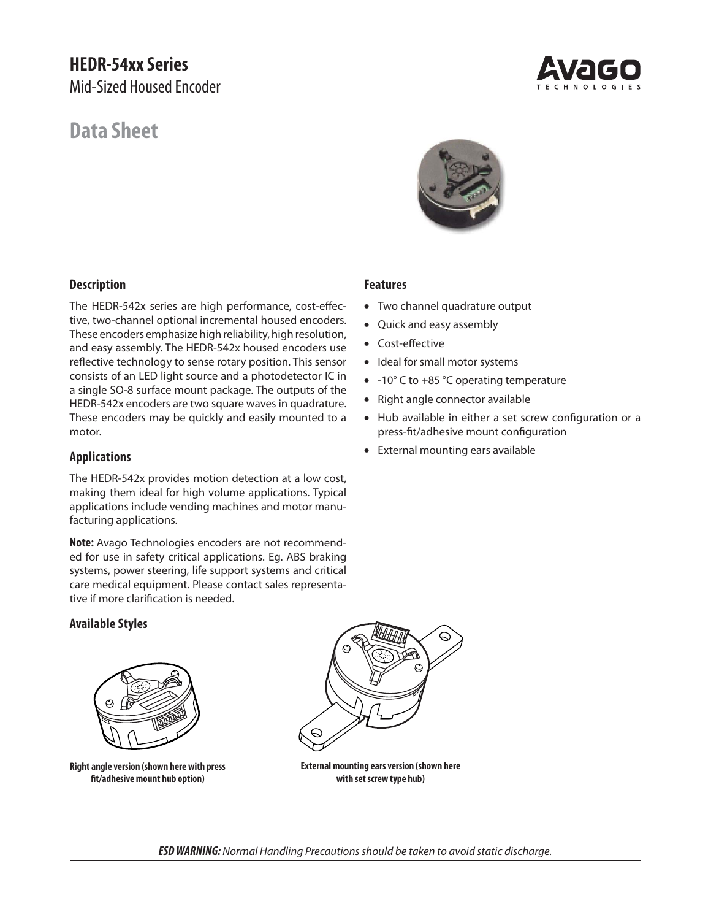# **HEDR-54xx Series** Mid-Sized Housed Encoder

# **Data Sheet**



# **Description**

The HEDR-542x series are high performance, cost-effective, two-channel optional incremental housed encoders. These encoders emphasize high reliability, high resolution, and easy assembly. The HEDR-542x housed encoders use reflective technology to sense rotary position. This sensor consists of an LED light source and a photodetector IC in a single SO-8 surface mount package. The outputs of the HEDR-542x encoders are two square waves in quadrature. These encoders may be quickly and easily mounted to a motor.

# **Applications**

The HEDR-542x provides motion detection at a low cost, making them ideal for high volume applications. Typical applications include vending machines and motor manufacturing applications.

**Note:** Avago Technologies encoders are not recommended for use in safety critical applications. Eg. ABS braking systems, power steering, life support systems and critical care medical equipment. Please contact sales representative if more clarification is needed.

# **Available Styles**



**Right angle version (shown here with press fi t/adhesive mount hub option)**



**External mounting ears version (shown here with set screw type hub)**

# **Features**

- Two channel quadrature output
- Quick and easy assembly
- Cost-effective
- Ideal for small motor systems
- -10° C to +85 °C operating temperature
- Right angle connector available
- Hub available in either a set screw configuration or a press-fit/adhesive mount configuration
- External mounting ears available

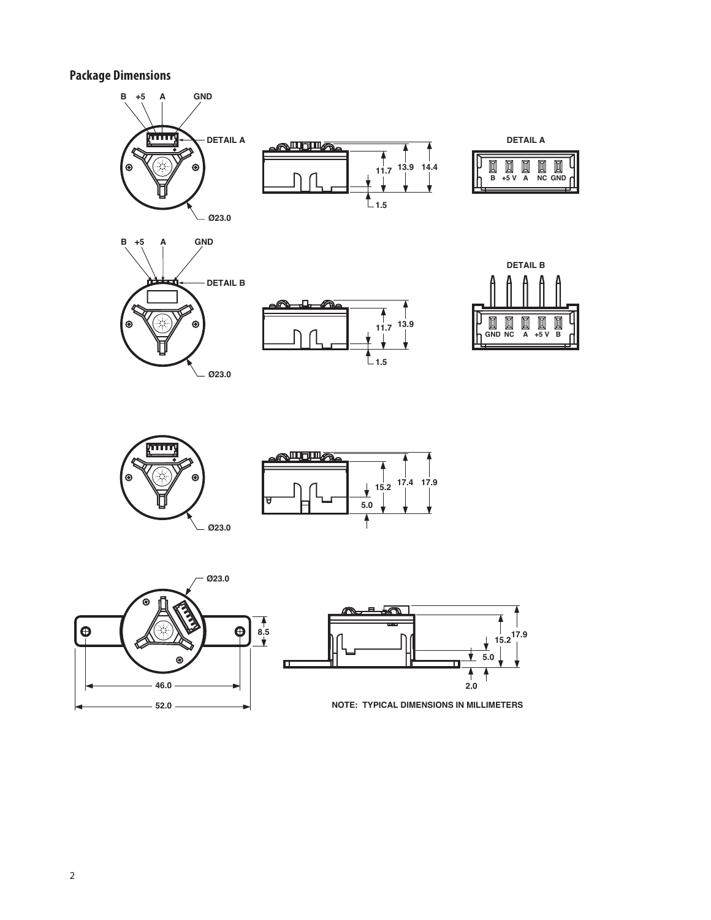**Package Dimensions**



**46.0 2.0**



 $\bigoplus$ 

**52.0**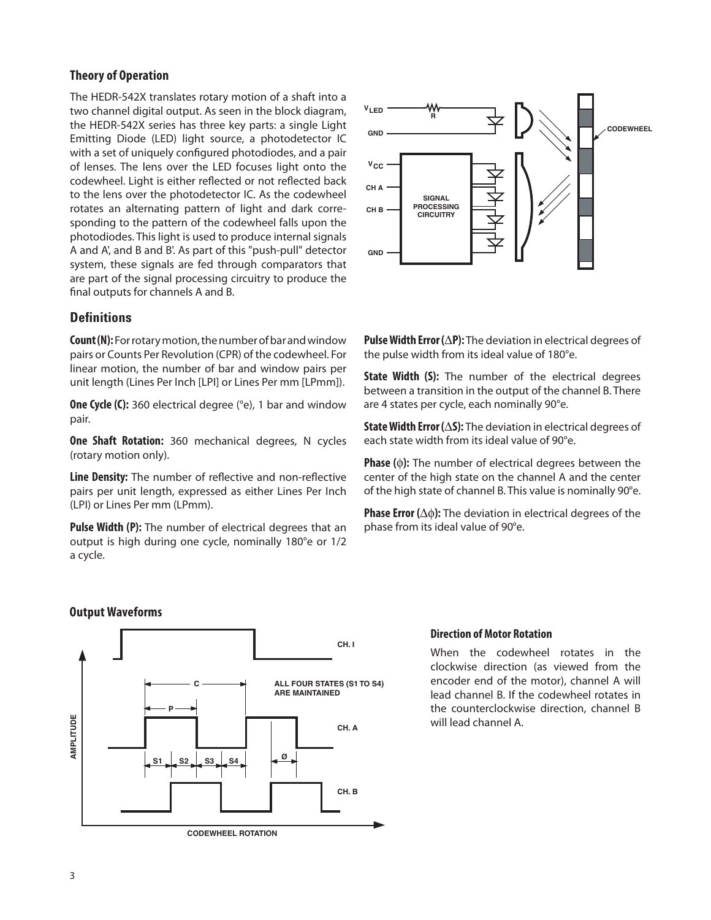# **Theory of Operation**

The HEDR-542X translates rotary motion of a shaft into a two channel digital output. As seen in the block diagram, the HEDR-542X series has three key parts: a single Light Emitting Diode (LED) light source, a photodetector IC with a set of uniquely configured photodiodes, and a pair of lenses. The lens over the LED focuses light onto the codewheel. Light is either reflected or not reflected back to the lens over the photodetector IC. As the codewheel rotates an alternating pattern of light and dark corresponding to the pattern of the codewheel falls upon the photodiodes. This light is used to produce internal signals A and A', and B and B'. As part of this "push-pull" detector system, these signals are fed through comparators that are part of the signal processing circuitry to produce the final outputs for channels A and B.

# **Defi nitions**

**Count (N):** For rotary motion, the number of bar and window pairs or Counts Per Revolution (CPR) of the codewheel. For linear motion, the number of bar and window pairs per unit length (Lines Per Inch [LPI] or Lines Per mm [LPmm]).

**One Cycle (C):** 360 electrical degree (°e), 1 bar and window pair.

**One Shaft Rotation:** 360 mechanical degrees, N cycles (rotary motion only).

**Line Density:** The number of reflective and non-reflective pairs per unit length, expressed as either Lines Per Inch (LPI) or Lines Per mm (LPmm).

**Pulse Width (P):** The number of electrical degrees that an output is high during one cycle, nominally 180°e or 1/2 a cycle.



**Pulse Width Error**  $(\Delta P)$ **:** The deviation in electrical degrees of the pulse width from its ideal value of 180°e.

**State Width (S):** The number of the electrical degrees between a transition in the output of the channel B. There are 4 states per cycle, each nominally 90°e.

**State Width Error (S):** The deviation in electrical degrees of each state width from its ideal value of 90°e.

**Phase ():** The number of electrical degrees between the center of the high state on the channel A and the center of the high state of channel B. This value is nominally 90°e.

**Phase Error (** $\Delta\phi$ **):** The deviation in electrical degrees of the phase from its ideal value of 90°e.

# **Output Waveforms**



## **Direction of Motor Rotation**

When the codewheel rotates in the clockwise direction (as viewed from the encoder end of the motor), channel A will lead channel B. If the codewheel rotates in the counterclockwise direction, channel B will lead channel A.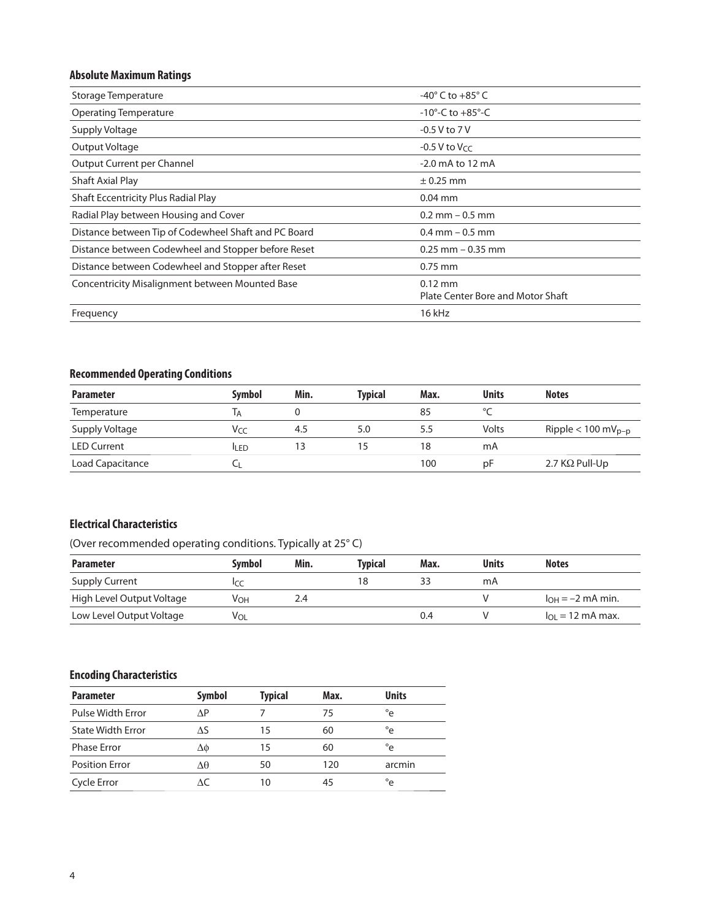# **Absolute Maximum Ratings**

| Storage Temperature                                  | -40 $^{\circ}$ C to +85 $^{\circ}$ C           |
|------------------------------------------------------|------------------------------------------------|
| <b>Operating Temperature</b>                         | $-10^{\circ}$ -C to $+85^{\circ}$ -C           |
| Supply Voltage                                       | $-0.5$ V to $7$ V                              |
| Output Voltage                                       | $-0.5$ V to V $cc$                             |
| Output Current per Channel                           | $-2.0$ mA to 12 mA                             |
| Shaft Axial Play                                     | $\pm$ 0.25 mm                                  |
| Shaft Eccentricity Plus Radial Play                  | $0.04$ mm                                      |
| Radial Play between Housing and Cover                | $0.2$ mm $-0.5$ mm                             |
| Distance between Tip of Codewheel Shaft and PC Board | $0.4$ mm $-0.5$ mm                             |
| Distance between Codewheel and Stopper before Reset  | $0.25$ mm $-0.35$ mm                           |
| Distance between Codewheel and Stopper after Reset   | $0.75$ mm                                      |
| Concentricity Misalignment between Mounted Base      | $0.12$ mm<br>Plate Center Bore and Motor Shaft |
| Frequency                                            | 16 kHz                                         |

# **Recommended Operating Conditions**

| <b>Parameter</b>   | Symbol      | Min. | Tvpical | Max. | <b>Units</b> | <b>Notes</b>                     |
|--------------------|-------------|------|---------|------|--------------|----------------------------------|
| Temperature        | IА          |      |         | 85   | $\sim$       |                                  |
| Supply Voltage     | Vcc         | 4.5  | 5.0     | 5.5  | Volts        | Ripple $< 100$ mV <sub>p-p</sub> |
| <b>LED Current</b> | <b>ILED</b> | 13   | 15      | 18   | mA           |                                  |
| Load Capacitance   |             |      |         | 100  | рF           | 2.7 $K\Omega$ Pull-Up            |

# **Electrical Characteristics**

(Over recommended operating conditions. Typically at 25° C)

| <b>Parameter</b>          | Svmbol          | Min. | Tvpical | Max. | <b>Units</b> | <b>Notes</b>              |
|---------------------------|-----------------|------|---------|------|--------------|---------------------------|
| <b>Supply Current</b>     |                 |      | 18      |      | mA           |                           |
| High Level Output Voltage | V <sub>OH</sub> | 2.4  |         |      |              | $I_{OH} = -2$ mA min.     |
| Low Level Output Voltage  | V <sub>OL</sub> |      |         | 0.4  |              | $I_{\Omega} = 12$ mA max. |

# **Encoding Characteristics**

| <b>Parameter</b>         | <b>Symbol</b> | <b>Typical</b> | Max. | <b>Units</b> |
|--------------------------|---------------|----------------|------|--------------|
| Pulse Width Error        | ΛP            |                | 75   | $^{\circ}$ e |
| <b>State Width Error</b> | ΛS            | 15             | 60   | $^{\circ}$ e |
| <b>Phase Error</b>       | Δφ            | 15             | 60   | °e           |
| <b>Position Error</b>    | Δθ            | 50             | 120  | arcmin       |
| Cycle Error              | ЛC            | 10             | 45   | °e           |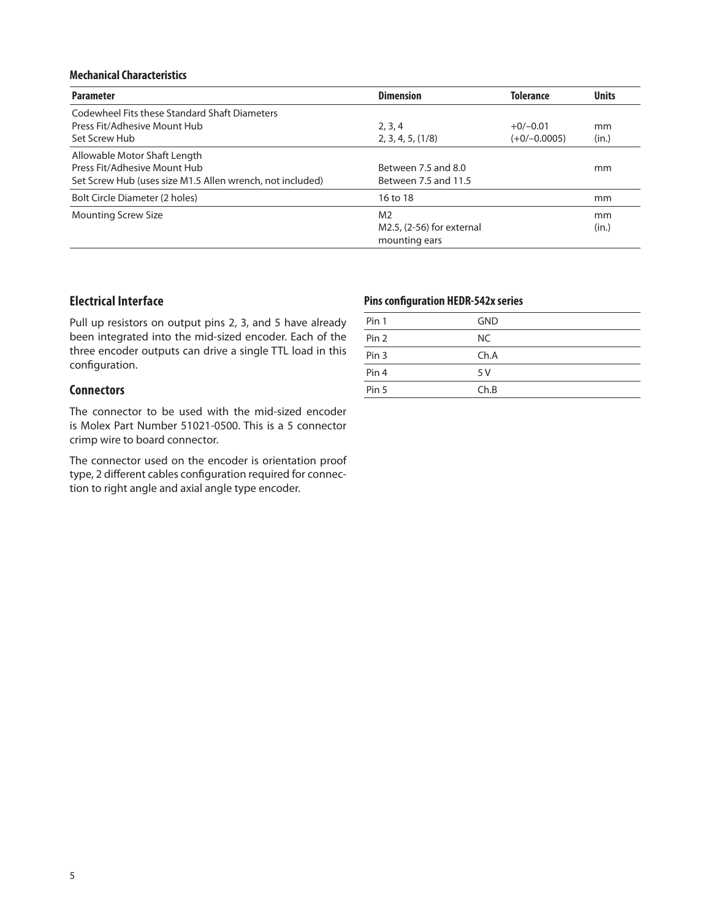### **Mechanical Characteristics**

| <b>Parameter</b>                                          | <b>Dimension</b>          | <b>Tolerance</b> | <b>Units</b> |
|-----------------------------------------------------------|---------------------------|------------------|--------------|
| Codewheel Fits these Standard Shaft Diameters             |                           |                  |              |
| Press Fit/Adhesive Mount Hub                              | 2, 3, 4                   | $+0/-0.01$       | mm           |
| Set Screw Hub                                             | 2, 3, 4, 5, (1/8)         | $(+0/-0.0005)$   | (in.)        |
| Allowable Motor Shaft Length                              |                           |                  |              |
| Press Fit/Adhesive Mount Hub                              | Between 7.5 and 8.0       |                  | mm           |
| Set Screw Hub (uses size M1.5 Allen wrench, not included) | Between 7.5 and 11.5      |                  |              |
| Bolt Circle Diameter (2 holes)                            | 16 to 18                  |                  | mm           |
| <b>Mounting Screw Size</b>                                | M <sub>2</sub>            |                  | mm           |
|                                                           | M2.5, (2-56) for external |                  | (in.)        |
|                                                           | mounting ears             |                  |              |

# **Electrical Interface**

Pull up resistors on output pins 2, 3, and 5 have already been integrated into the mid-sized encoder. Each of the three encoder outputs can drive a single TTL load in this configuration.

# **Connectors**

The connector to be used with the mid-sized encoder is Molex Part Number 51021-0500. This is a 5 connector crimp wire to board connector.

The connector used on the encoder is orientation proof type, 2 different cables configuration required for connection to right angle and axial angle type encoder.

## **Pins configuration HEDR-542x series**

| Pin 1            | <b>GND</b> |
|------------------|------------|
| Pin <sub>2</sub> | NC.        |
| Pin <sub>3</sub> | Ch.A       |
| Pin <sub>4</sub> | 5 V        |
| Pin 5            | Ch.B       |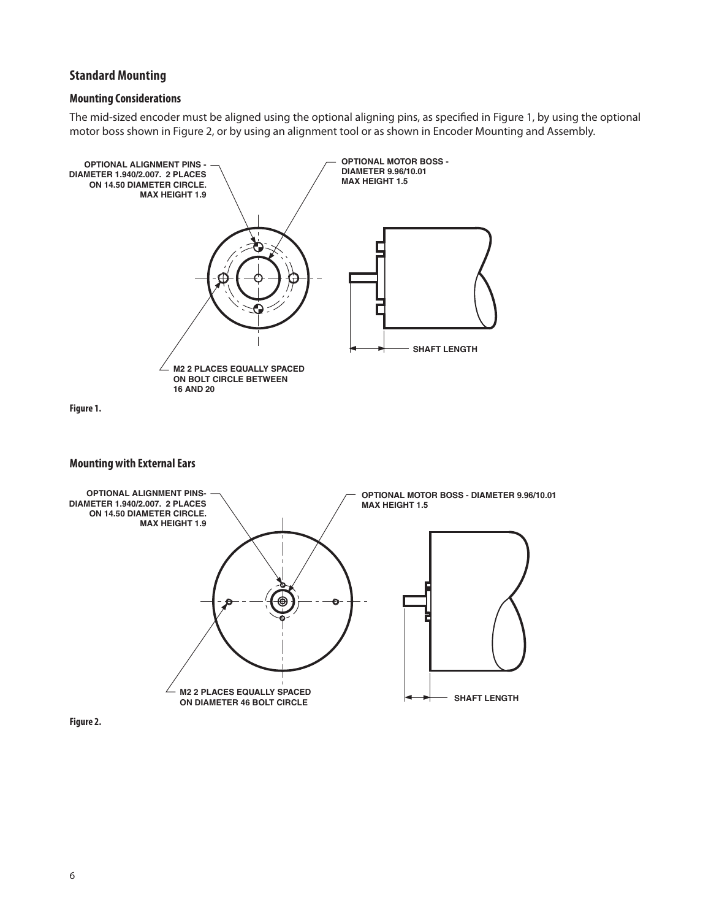# **Standard Mounting**

### **Mounting Considerations**

The mid-sized encoder must be aligned using the optional aligning pins, as specified in Figure 1, by using the optional motor boss shown in Figure 2, or by using an alignment tool or as shown in Encoder Mounting and Assembly.

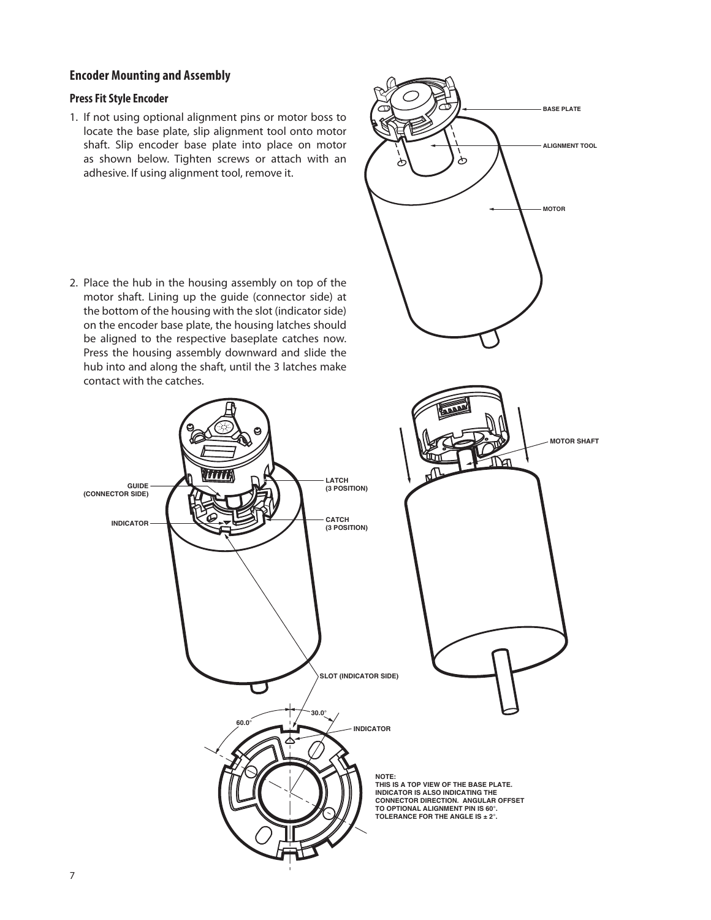## **Encoder Mounting and Assembly**

#### **Press Fit Style Encoder**

1. If not using optional alignment pins or motor boss to locate the base plate, slip alignment tool onto motor shaft. Slip encoder base plate into place on motor as shown below. Tighten screws or attach with an adhesive. If using alignment tool, remove it.

2. Place the hub in the housing assembly on top of the motor shaft. Lining up the guide (connector side) at the bottom of the housing with the slot (indicator side) on the encoder base plate, the housing latches should be aligned to the respective baseplate catches now. Press the housing assembly downward and slide the hub into and along the shaft, until the 3 latches make contact with the catches.



**ALIGNMENT TOOL**

**BASE PLATE**

**MOTOR**

ᡯ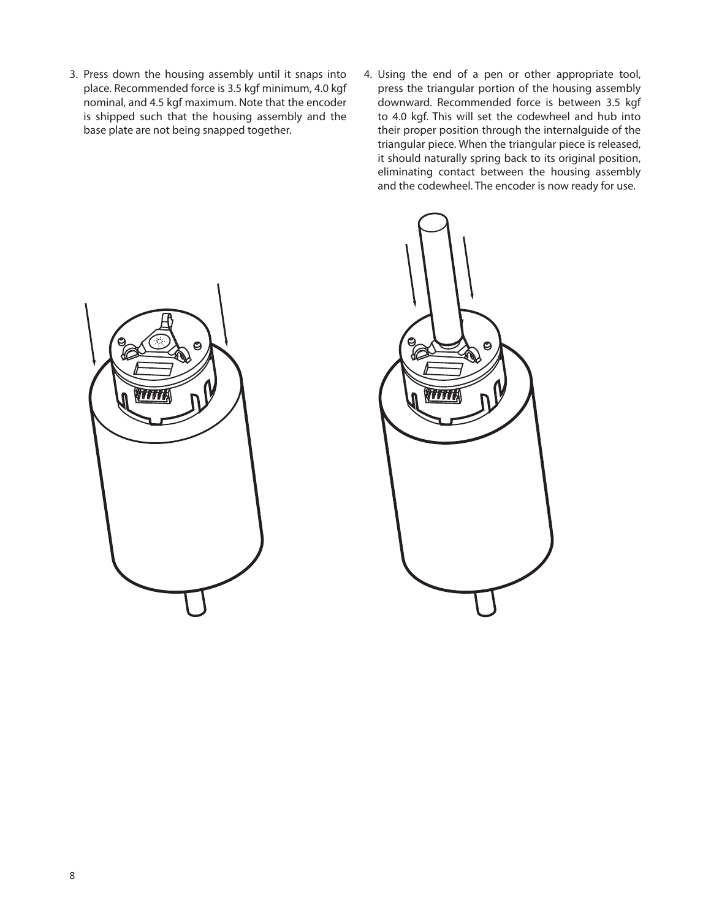- 3. Press down the housing assembly until it snaps into place. Recommended force is 3.5 kgf minimum, 4.0 kgf nominal, and 4.5 kgf maximum. Note that the encoder is shipped such that the housing assembly and the base plate are not being snapped together.
- 4. Using the end of a pen or other appropriate tool, press the triangular portion of the housing assembly downward. Recommended force is between 3.5 kgf to 4.0 kgf. This will set the codewheel and hub into their proper position through the internalguide of the triangular piece. When the triangular piece is released, it should naturally spring back to its original position, eliminating contact between the housing assembly and the codewheel. The encoder is now ready for use.



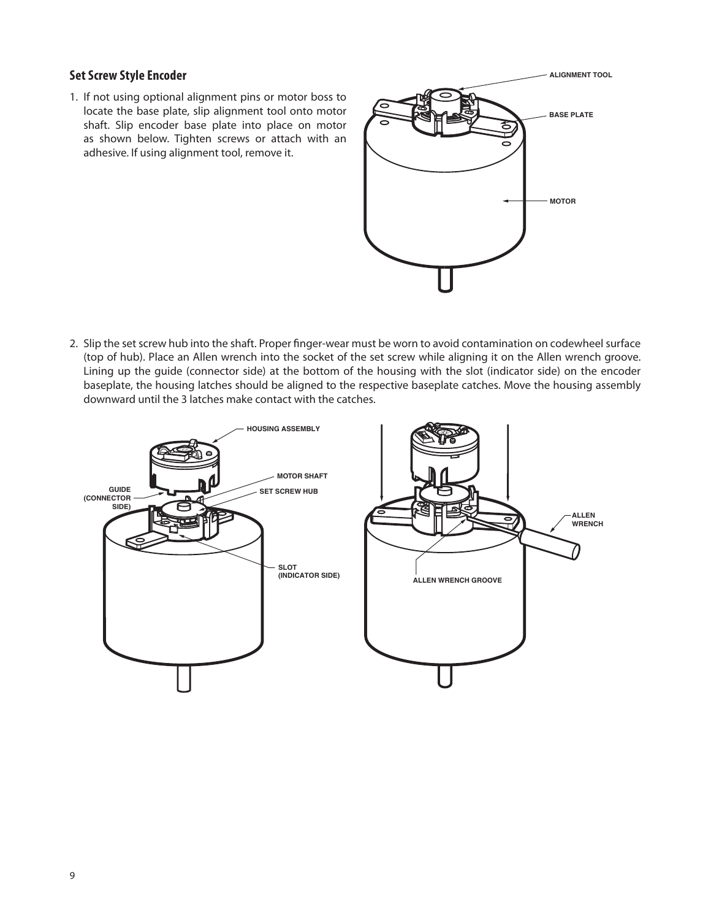# **Set Screw Style Encoder**

1. If not using optional alignment pins or motor boss to locate the base plate, slip alignment tool onto motor shaft. Slip encoder base plate into place on motor as shown below. Tighten screws or attach with an adhesive. If using alignment tool, remove it.



2. Slip the set screw hub into the shaft. Proper finger-wear must be worn to avoid contamination on codewheel surface (top of hub). Place an Allen wrench into the socket of the set screw while aligning it on the Allen wrench groove. Lining up the guide (connector side) at the bottom of the housing with the slot (indicator side) on the encoder baseplate, the housing latches should be aligned to the respective baseplate catches. Move the housing assembly downward until the 3 latches make contact with the catches.

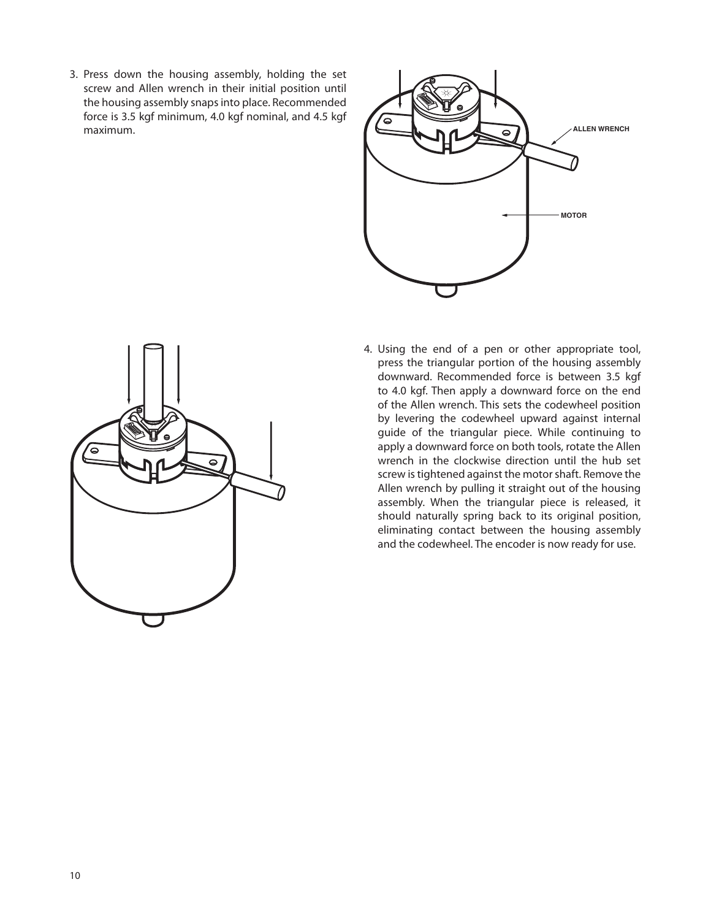3. Press down the housing assembly, holding the set screw and Allen wrench in their initial position until the housing assembly snaps into place. Recommended force is 3.5 kgf minimum, 4.0 kgf nominal, and 4.5 kgf maximum.



4. Using the end of a pen or other appropriate tool, press the triangular portion of the housing assembly downward. Recommended force is between 3.5 kgf to 4.0 kgf. Then apply a downward force on the end of the Allen wrench. This sets the codewheel position by levering the codewheel upward against internal guide of the triangular piece. While continuing to apply a downward force on both tools, rotate the Allen wrench in the clockwise direction until the hub set screw is tightened against the motor shaft. Remove the Allen wrench by pulling it straight out of the housing assembly. When the triangular piece is released, it should naturally spring back to its original position, eliminating contact between the housing assembly and the codewheel. The encoder is now ready for use.

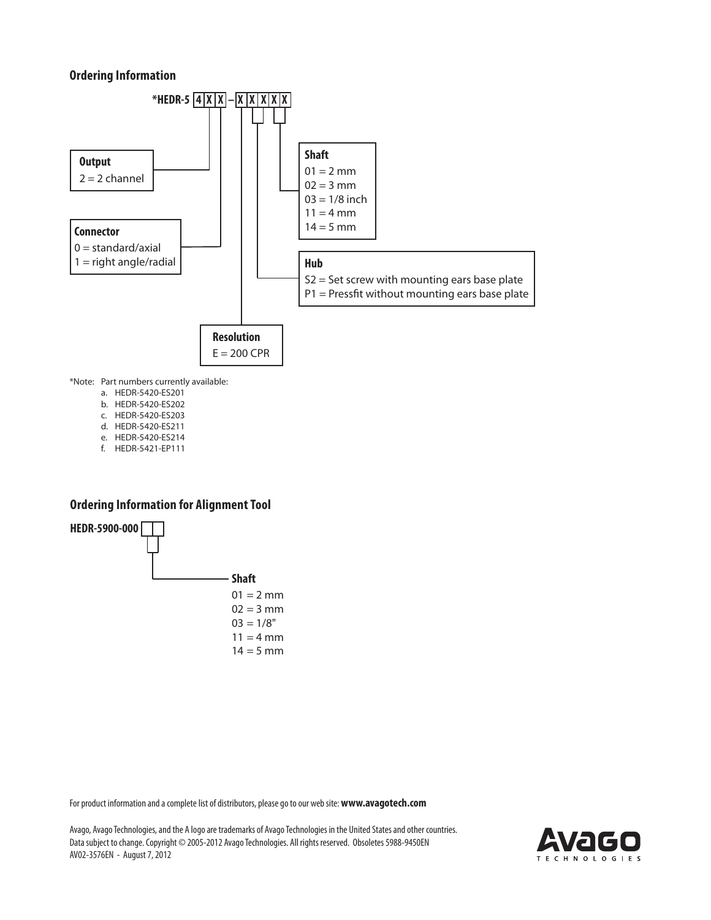# **Ordering Information**



- a. HEDR-5420-ES201
- b. HEDR-5420-ES202 c. HEDR-5420-ES203
- d. HEDR-5420-ES211
- e. HEDR-5420-ES214
- f. HEDR-5421-EP111

# **Ordering Information for Alignment Tool**



For product information and a complete list of distributors, please go to our web site: **www.avagotech.com**

Avago, Avago Technologies, and the A logo are trademarks of Avago Technologies in the United States and other countries. Data subject to change. Copyright © 2005-2012 Avago Technologies. All rights reserved. Obsoletes 5988-9450EN AV02-3576EN - August 7, 2012